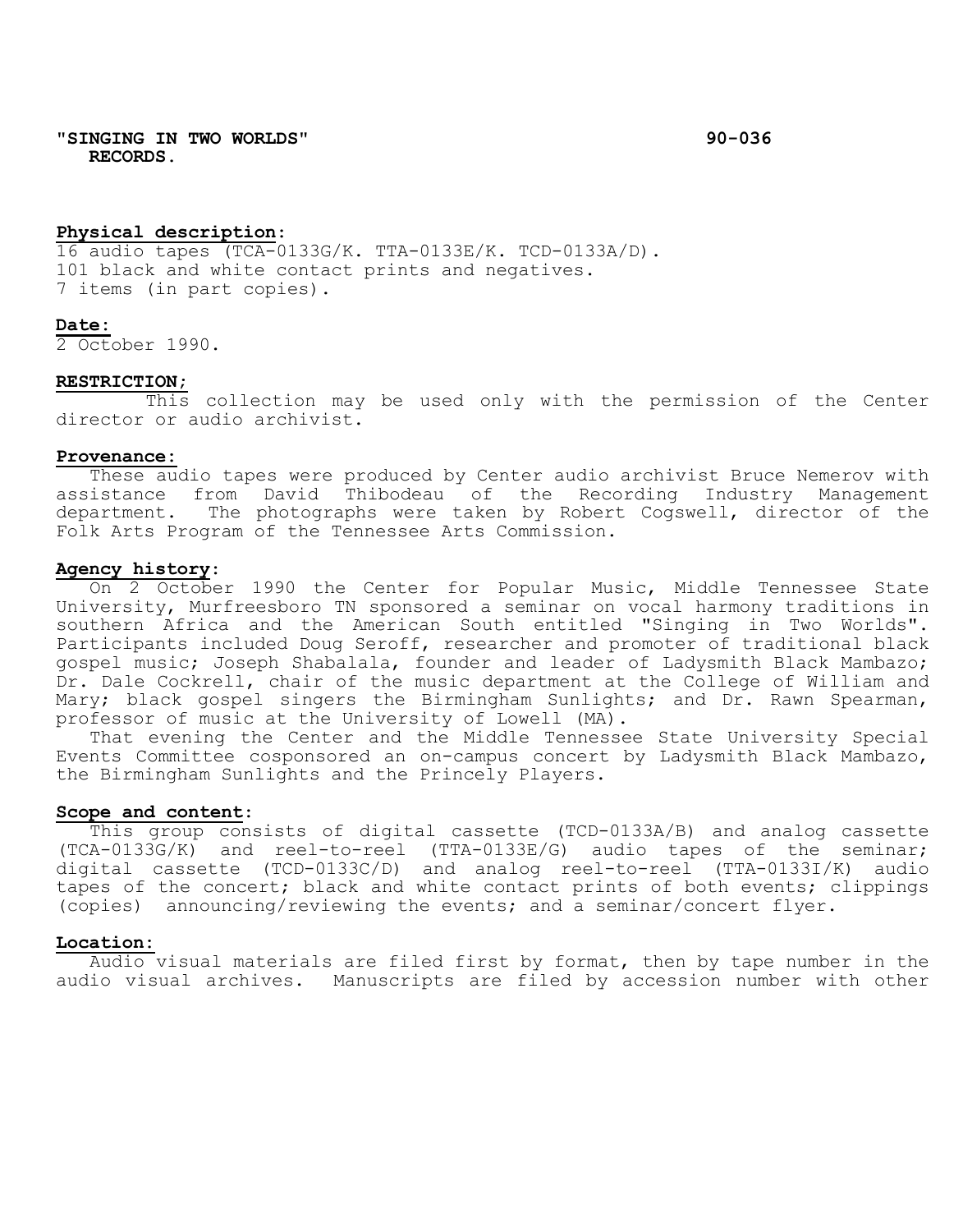**"SINGING IN TWO WORLDS" 90-036 RECORDS.**

### **Physical description**:

16 audio tapes (TCA-0133G/K. TTA-0133E/K. TCD-0133A/D). 101 black and white contact prints and negatives. 7 items (in part copies).

### **Date:**

2 October 1990.

## **RESTRICTION;**

This collection may be used only with the permission of the Center director or audio archivist.

#### **Provenance:**

These audio tapes were produced by Center audio archivist Bruce Nemerov with assistance from David Thibodeau of the Recording Industry Management department. The photographs were taken by Robert Cogswell, director of the Folk Arts Program of the Tennessee Arts Commission.

## **Agency history**:

On 2 October 1990 the Center for Popular Music, Middle Tennessee State University, Murfreesboro TN sponsored a seminar on vocal harmony traditions in southern Africa and the American South entitled "Singing in Two Worlds". Participants included Doug Seroff, researcher and promoter of traditional black gospel music; Joseph Shabalala, founder and leader of Ladysmith Black Mambazo; Dr. Dale Cockrell, chair of the music department at the College of William and Mary; black gospel singers the Birmingham Sunlights; and Dr. Rawn Spearman, professor of music at the University of Lowell (MA).

That evening the Center and the Middle Tennessee State University Special Events Committee cosponsored an on-campus concert by Ladysmith Black Mambazo, the Birmingham Sunlights and the Princely Players.

## **Scope and content**:

This group consists of digital cassette (TCD-0133A/B) and analog cassette (TCA-0133G/K) and reel-to-reel (TTA-0133E/G) audio tapes of the seminar; digital cassette (TCD-0133C/D) and analog reel-to-reel (TTA-0133I/K) audio tapes of the concert; black and white contact prints of both events; clippings (copies) announcing/reviewing the events; and a seminar/concert flyer.

# **Location:**

Audio visual materials are filed first by format, then by tape number in the audio visual archives. Manuscripts are filed by accession number with other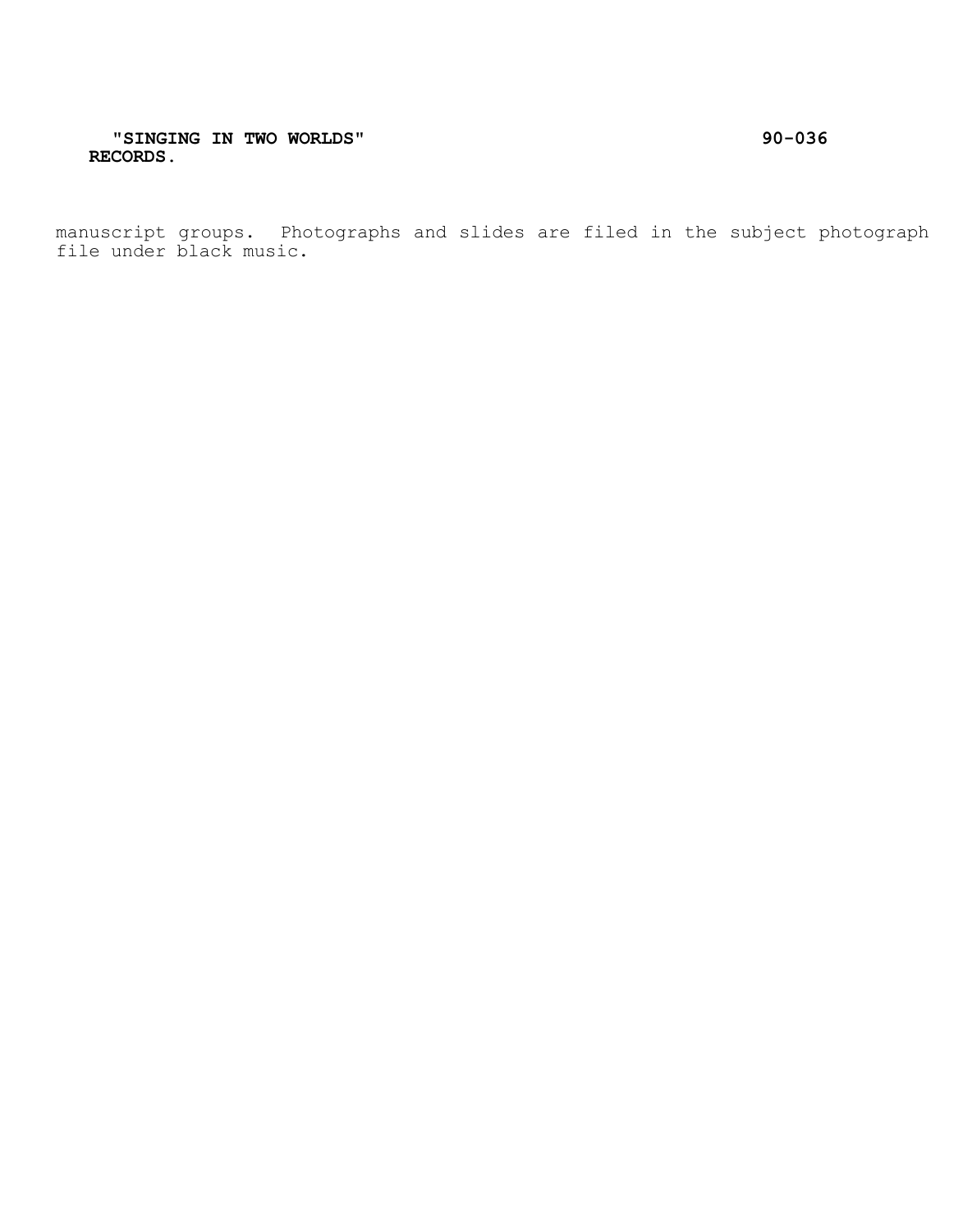manuscript groups. Photographs and slides are filed in the subject photograph file under black music.